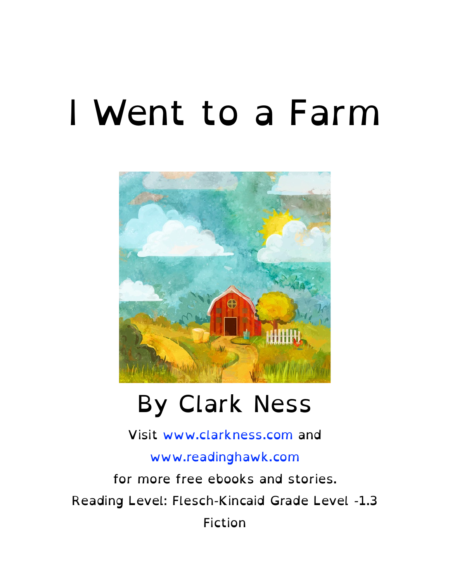#### I Went to a Farm



#### By Clark Ness

Visit [www.clarkness.com](http://www.clarkness.com) and [www.readinghawk.com](http://www.readinghawk.com) for more free ebooks and stories. Reading Level: Flesch-Kincaid Grade Level -1.3

Fiction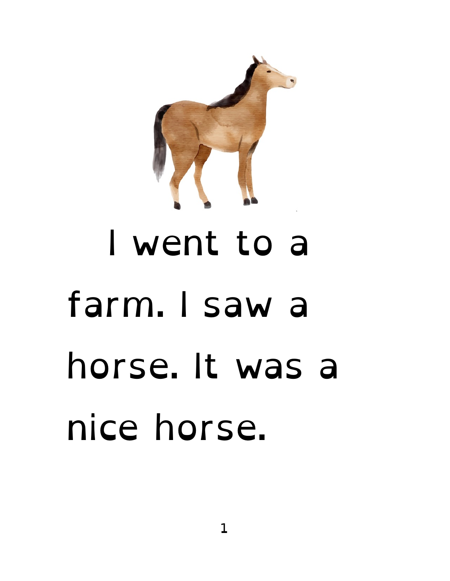

# I went to a farm. I saw a horse. It was a nice horse.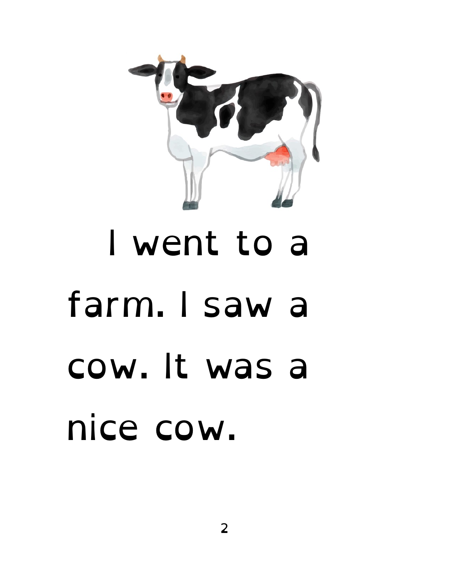

### I went to a farm. I saw a cow. It was a nice cow.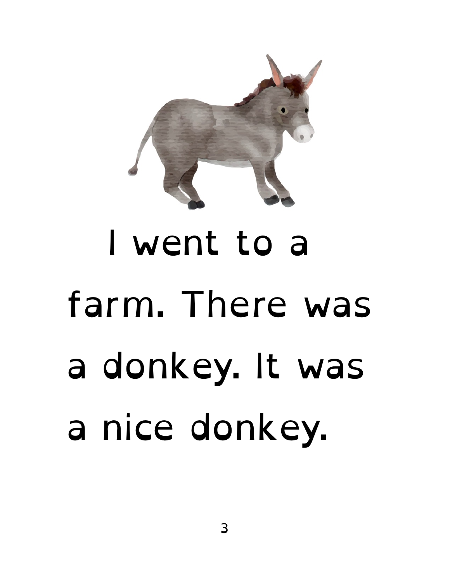

# I went to a farm. There was a donkey. It was a nice donkey.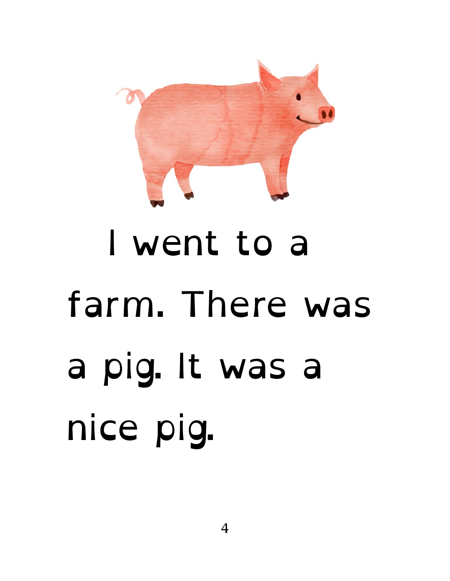

# I went to a farm. There was a pig. It was a nice pig.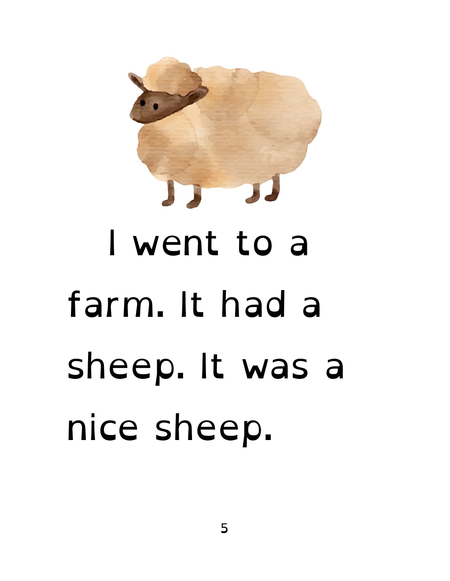

# I went to a farm. It had a sheep. It was a nice sheep.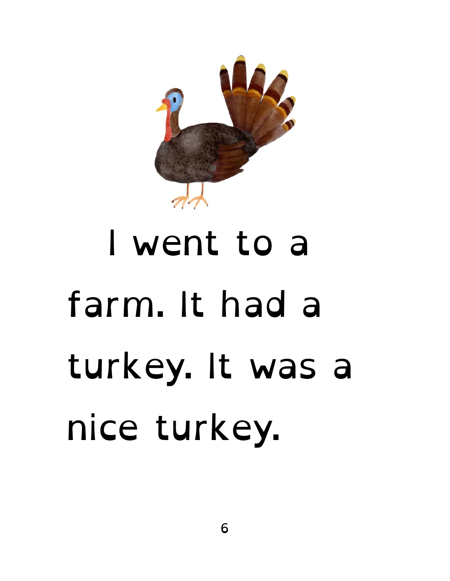

## I went to a farm. It had a turkey. It was a nice turkey.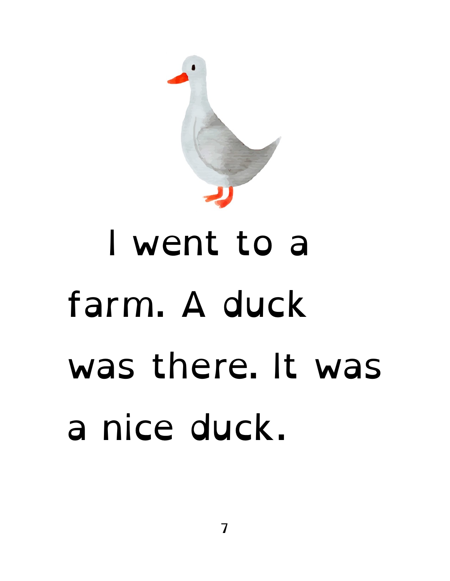

#### I went to a farm. A duck was there. It was a nice duck.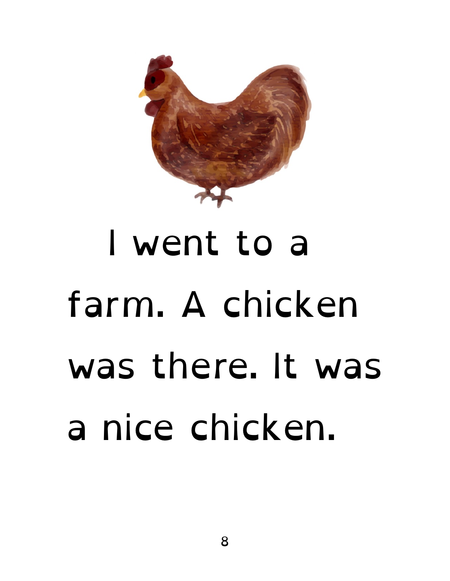

## I went to a farm. A chicken was there. It was a nice chicken.